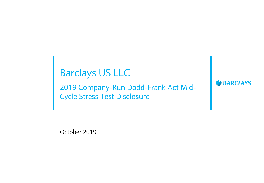# Barclays US LLC

2019 Company-Run Dodd-Frank Act Mid-Cycle Stress Test Disclosure

**BARCLAYS** 

October 2019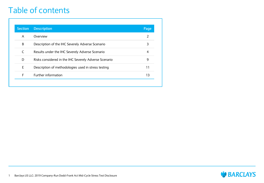#### Table of contents

| <b>Section</b> | <b>Description</b>                                    | Page           |
|----------------|-------------------------------------------------------|----------------|
| A              | Overview                                              | $\overline{2}$ |
| B              | Description of the IHC Severely Adverse Scenario      | 3              |
| C              | Results under the IHC Severely Adverse Scenario       | 4              |
| D              | Risks considered in the IHC Severely Adverse Scenario | 9              |
| E              | Description of methodologies used in stress testing   | 11             |
| F              | Further information                                   | 13             |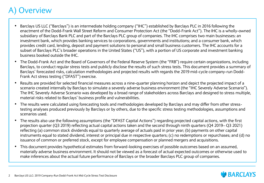#### **Overview**

- Barclays US LLC ("Barclays") is an intermediate holding company ("IHC") established by Barclays PLC in 2016 following the enactment of the Dodd-Frank Wall Street Reform and Consumer Protection Act (the "Dodd-Frank Act"). The IHC is a wholly-owned subsidiary of Barclays Bank PLC and part of the Barclays PLC group of companies. The IHC comprises two main businesses: an investment bank, which provides banking services to corporations, governments and institutions; and a consumer bank, which provides credit card, lending, deposit and payment solutions to personal and small business customers. The IHC accounts for a subset of Barclays PLC's broader operations in the United States ("US"), with a portion of US corporate and investment banking business booked outside the IHC.
- The Dodd-Frank Act and the Board of Governors of the Federal Reserve System (the "FRB") require certain organizations, including Barclays, to conduct regular stress tests and publicly disclose the results of such stress tests. This document provides a summary of Barclays' forecasted risks, calculation methodologies and projected results with regards the 2019 mid-cycle company-run Dodd-Frank Act stress testing ("DFAST") exercise.
- Results are provided for selected financial measures across a nine-quarter planning horizon and depict the projected impact of a scenario created internally by Barclays to simulate a severely adverse business environment (the "IHC Severely Adverse Scenario"). The IHC Severely Adverse Scenario was developed by a broad range of stakeholders across Barclays and designed to stress multiple, material risks related to Barclays' business profile and vulnerabilities.
- The results were calculated using forecasting tools and methodologies developed by Barclays and may differ from other stresstesting analyses produced previously by Barclays or by others, due to the specific stress testing methodologies, assumptions and scenarios used.
- The results also use the following assumptions (the "DFAST Capital Actions") regarding projected capital actions, with the first projection quarter (Q3 2019) reflecting actual capital actions taken and the second through ninth quarters (Q4 2019– Q3 2021) reflecting (a) common stock dividends equal to quarterly average of actuals paid in prior year; (b) payments on other capital instruments equal to stated dividend, interest or principal due in respective quarters; (c) no redemptions or repurchases; and (d) no issuance of common or preferred stock, except for employee compensation or planned mergers and acquisitions.
- This document provides hypothetical estimates from forward-looking exercises of possible outcomes based on an assumed, materially adverse business environment. It should not be viewed as a forecast of actual expected outcomes or otherwise used to make inferences about the actual future performance of Barclays or the broader Barclays PLC group of companies.

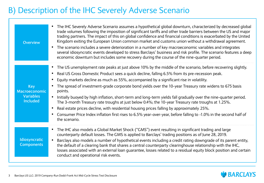### B) Description of the IHC Severely Adverse Scenario

| <b>Overview</b>                                                    | The IHC Severely Adverse Scenario assumes a hypothetical global downturn, characterized by decreased global<br>trade volumes following the imposition of significant tariffs and other trade barriers between the US and major<br>trading partners. The impact of this on global confidence and financial conditions is exacerbated by the United<br>Kingdom exiting the European Union common market and customs union without a withdrawal agreement.<br>The scenario includes a severe deterioration in a number of key macroeconomic variables and integrates<br>$\bullet$<br>several idiosyncratic events developed to stress Barclays' business and risk profile. The scenario features a deep<br>economic downturn but includes some recovery during the course of the nine-quarter period.                                                                                                                                                         |
|--------------------------------------------------------------------|------------------------------------------------------------------------------------------------------------------------------------------------------------------------------------------------------------------------------------------------------------------------------------------------------------------------------------------------------------------------------------------------------------------------------------------------------------------------------------------------------------------------------------------------------------------------------------------------------------------------------------------------------------------------------------------------------------------------------------------------------------------------------------------------------------------------------------------------------------------------------------------------------------------------------------------------------------|
| <b>Key</b><br>Macroeconomic<br><b>Variables</b><br><b>Included</b> | The US unemployment rate peaks at just above 10% by the middle of the scenario, before recovering slightly.<br>$\bullet$<br>Real US Gross Domestic Product sees a quick decline, falling 6.5% from its pre-recession peak.<br>$\bullet$<br>Equity markets decline as much as 55%, accompanied by a significant rise in volatility.<br>The spread of investment-grade corporate bond yields over the 10-year Treasury rate widens to 675 basis<br>$\bullet$<br>points.<br>Initially buoyed by high inflation, short-term and long-term yields fall gradually over the nine-quarter period.<br>$\bullet$<br>The 3-month Treasury rate troughs at just below 0.4%; the 10-year Treasury rate troughs at 1.25%.<br>Real estate prices decline, with residential housing prices falling by approximately 25%.<br>$\bullet$<br>Consumer Price Index inflation first rises to 6.5% year-over-year, before falling to -1.0% in the second half of<br>the scenario. |
| Idiosyncratic<br><b>Components</b>                                 | The IHC also models a Global Market Shock ("GMS") event resulting in significant trading and large<br>counterparty default losses. The GMS is applied to Barclays' trading positions as of June 28, 2019.<br>Barclays also models a number of hypothetical events including a credit rating downgrade of its parent entity,<br>the default of a clearing bank that shares a central counterparty clearinghouse relationship with the IHC,<br>losses associated with an external loan guarantee, losses related to a residual equity block position and certain<br>conduct and operational risk events.                                                                                                                                                                                                                                                                                                                                                     |

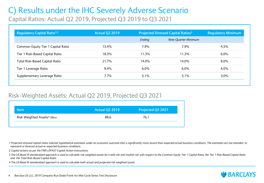# C) Results under the IHC Severely Adverse Scenario

Capital Ratios: Actual Q2 2019, Projected Q3 2019 to Q3 2021

| Regulatory Capital Ratio <sup>1,2</sup><br><b>Actual Q2 2019</b> |       |         | <b>Projected Stressed Capital Ratios<sup>3</sup></b> | <b>Regulatory Minimum</b> |
|------------------------------------------------------------------|-------|---------|------------------------------------------------------|---------------------------|
|                                                                  |       | Ending  | Nine-Quarter Minimum                                 |                           |
| Common Equity Tier 1 Capital Ratio                               | 15.4% | 7.9%    | 7.9%                                                 | 4.5%                      |
| Tier 1 Risk-Based Capital Ratio                                  | 18.3% | 11.3%   | 11.3%                                                | $6.0\%$                   |
| <b>Total Risk-Based Capital Ratio</b>                            | 21.7% | 14.0%   | 14.0%                                                | 8.0%                      |
| Tier 1 Leverage Ratio                                            | 9.4%  | $6.0\%$ | $6.0\%$                                              | 4.0%                      |
| Supplementary Leverage Ratio                                     | 7.7%  | 5.1%    | $5.1\%$                                              | $3.0\%$                   |

#### Risk-Weighted Assets: Actual Q2 2019, Projected Q3 2021

| <b>Item</b>                              | <b>Actual Q2 2019</b> | Projected Q3 2021 |
|------------------------------------------|-----------------------|-------------------|
| Risk Weighted Assets <sup>4</sup> (\$bn) | 88.6                  | 76.1              |
|                                          |                       |                   |

*1 Projected stressed capital ratios indicate hypothetical estimates under an economic outcome that is significantly more severe than expected actual business conditions. The estimates are not intended to represent or forecast actual or expected business conditions.*

*2 Capital actions as per the FRB's DFAST Capital Action instructions.*

*3 The US Basel III standardized approach is used to calculate risk weighted assets for credit risk and market risk with respect to the Common Equity Tier 1 Capital Ratio, the Tier 1 Risk-Based Capital Ratio and the Total Risk-Based Capital Ratio.* 

*4 The US Basel III standardized approach is used to calculate both actual and projected risk weighted assets.*

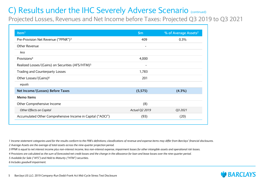Projected Losses, Revenues and Net Income before Taxes: Projected Q3 2019 to Q3 2021

| Item <sup>1</sup>                                            | \$m\$                        | % of Average Assets <sup>2</sup> |
|--------------------------------------------------------------|------------------------------|----------------------------------|
| Pre-Provision Net Revenue ("PPNR") <sup>3</sup>              | 409                          | 0.3%                             |
| Other Revenue                                                | $\qquad \qquad \blacksquare$ |                                  |
| less                                                         |                              |                                  |
| Provisions <sup>4</sup>                                      | 4,000                        |                                  |
| Realized Losses/(Gains) on Securities (AFS/HTM) <sup>5</sup> | $\overline{a}$               |                                  |
| Trading and Counterparty Losses                              | 1,783                        |                                  |
| Other Losses/(Gains) <sup>6</sup>                            | 201                          |                                  |
| equals                                                       |                              |                                  |
| Net Income/(Losses) Before Taxes                             | (5, 575)                     | (4.3%)                           |
| Memo Items                                                   |                              |                                  |
| Other Comprehensive Income                                   | (8)                          |                                  |
| Other Effects on Capital                                     | Actual Q2 2019               | Q3 2021                          |
| Accumulated Other Comprehensive Income in Capital ("AOCI")   | (93)                         | (20)                             |

*1 Income statement categories used for the results conform to the FRB's definitions; classifications of revenue and expense items may differ from Barclays' financial disclosures. 2 Average Assets are the average of total assets across the nine-quarter projection period.*

- *3 PPNR is equal to net interest income plus non-interest income, less non-interest expense, impairment losses for other intangible assets and operational risk losses.*
- *4 Provisions are calculated as the sum of forecasted net credit losses and the change in the allowance for loan and lease losses over the nine-quarter period.*

*5 Available for Sale ("AFS") and Held to Maturity ("HTM") securities.*

*6 Includes goodwill impairment.*

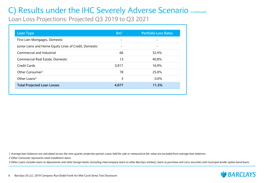Loan Loss Projections: Projected Q3 2019 to Q3 2021

| <b>Loan Type</b>                                       | \$m <sup>1</sup> | <b>Portfolio Loss Rates</b> |
|--------------------------------------------------------|------------------|-----------------------------|
| First Lien Mortgages, Domestic                         |                  |                             |
| Junior Liens and Home Equity Lines of Credit, Domestic |                  |                             |
| Commercial and Industrial                              | 66               | 32.4%                       |
| Commercial Real Estate, Domestic                       | 13               | 40.8%                       |
| <b>Credit Cards</b>                                    | 3,917            | 16.9%                       |
| Other Consumer <sup>2</sup>                            | 78               | 25.0%                       |
| Other Loans <sup>3</sup>                               | 3                | $0.0\%$                     |
| <b>Total Projected Loan Losses</b>                     | 4,077            | 11.3%                       |

*1 Average loan balances are calculated across the nine-quarter projection period. Loans held for sale or measured at fair value are excluded from average loan balances.*

*2 Other Consumer represents retail installment loans.*

*3 Other Loans includes loans to depositories and other foreign banks (including intercompany loans to other Barclays entities), loans to purchase and carry securities and municipal tender option bond loans.*

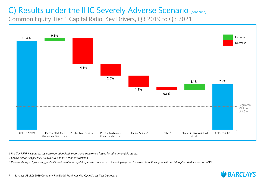Common Equity Tier 1 Capital Ratio: Key Drivers, Q3 2019 to Q3 2021



*1 Pre-Tax PPNR includes losses from operational risk events and impairment losses for other intangible assets.*

*2 Capital actions as per the FRB's DFAST Capital Action instructions.*

*3 Represents impact from tax, goodwill impairment and regulatory capital components including deferred tax asset deductions, goodwill and intangibles deductions and AOCI.*

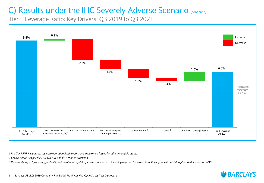Tier 1 Leverage Ratio: Key Drivers, Q3 2019 to Q3 2021



*1 Pre-Tax PPNR includes losses from operational risk events and impairment losses for other intangible assets.*

*2 Capital actions as per the FRB's DFAST Capital Action instructions.*

*3 Represents impact from tax, goodwill impairment and regulatory capital components including deferred tax asset deductions, goodwill and intangibles deductions and AOCI.*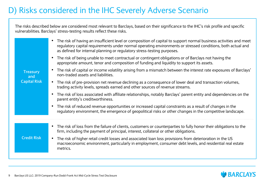### D) Risks considered in the IHC Severely Adverse Scenario

The risks described below are considered most relevant to Barclays, based on their significance to the IHC's risk profile and specific vulnerabilities. Barclays' stress-testing results reflect these risks.

| <b>Treasury</b><br>and<br><b>Capital Risk</b> | The risk of having an insufficient level or composition of capital to support normal business activities and meet<br>regulatory capital requirements under normal operating environments or stressed conditions, both actual and<br>as defined for internal planning or regulatory stress-testing purposes. |
|-----------------------------------------------|-------------------------------------------------------------------------------------------------------------------------------------------------------------------------------------------------------------------------------------------------------------------------------------------------------------|
|                                               | The risk of being unable to meet contractual or contingent obligations or of Barclays not having the<br>appropriate amount, tenor and composition of funding and liquidity to support its assets.                                                                                                           |
|                                               | The risk of capital or income volatility arising from a mismatch between the interest rate exposures of Barclays'<br>non-traded assets and liabilities.                                                                                                                                                     |
|                                               | • The risk of pre-provision net revenue declining as a consequence of lower deal and transaction volumes,<br>trading activity levels, spreads earned and other sources of revenue streams.                                                                                                                  |
|                                               | The risk of loss associated with affiliate relationships, notably Barclays' parent entity and dependencies on the<br>parent entity's creditworthiness.                                                                                                                                                      |
|                                               | The risk of reduced revenue opportunities or increased capital constraints as a result of changes in the<br>regulatory environment, the emergence of geopolitical risks or other changes in the competitive landscape.                                                                                      |
|                                               |                                                                                                                                                                                                                                                                                                             |
|                                               | The risk of loss from the failure of clients, customers or counterparties to fully honor their obligations to the<br>firm, including the payment of principal, interest, collateral or other obligations.                                                                                                   |
| <b>Credit Risk</b>                            | The risk of higher retail credit losses and associated loan loss provisions from deterioration in the US<br>$\bullet$<br>macroeconomic environment, particularly in employment, consumer debt levels, and residential real estate<br>metrics.                                                               |
|                                               |                                                                                                                                                                                                                                                                                                             |

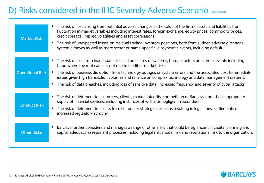#### D) Risks considered in the IHC Severely Adverse Scenario (continued)

| <b>Market Risk</b>      | • The risk of loss arising from potential adverse changes in the value of the firm's assets and liabilities from<br>fluctuation in market variables including interest rates, foreign exchange, equity prices, commodity prices,<br>credit spreads, implied volatilities and asset correlations.<br>The risk of unexpected losses on residual trading inventory positions, both from sudden adverse directional<br>$\bullet$<br>systemic moves as well as more sector or name-specific idiosyncratic events, including default. |
|-------------------------|---------------------------------------------------------------------------------------------------------------------------------------------------------------------------------------------------------------------------------------------------------------------------------------------------------------------------------------------------------------------------------------------------------------------------------------------------------------------------------------------------------------------------------|
| <b>Operational Risk</b> | The risk of loss from inadequate or failed processes or systems, human factors or external events including<br>$\bullet$<br>fraud where the root cause is not due to credit or market risks.<br>The risk of business disruption from technology outages or system errors and the associated cost to remediate<br>$\bullet$<br>issues given high transaction volumes and reliance on complex technology and data management systems.                                                                                             |
| <b>Conduct Risk</b>     | • The risk of data breaches, including loss of sensitive data; increased frequency and severity of cyber attacks.<br>• The risk of detriment to customers, clients, market integrity, competition or Barclays from the inappropriate<br>supply of financial services, including instances of willful or negligent misconduct.<br>The risk of detriment to clients from cultural or strategic decisions resulting in legal fines, settlements or<br>$\bullet$<br>increased regulatory scrutiny.                                  |
| <b>Other Risks</b>      | Barclays further considers and manages a range of other risks that could be significant in capital planning and<br>$\bullet$<br>capital adequacy assessment processes including legal risk, model risk and reputational risk to the organization.                                                                                                                                                                                                                                                                               |

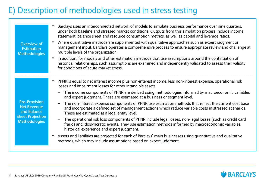#### E) Description of methodologies used in stress testing

| Overview of<br><b>Estimation</b><br><b>Methodologies</b>                                                     | Barclays uses an interconnected network of models to simulate business performance over nine quarters,<br>under both baseline and stressed market conditions. Outputs from this simulation process include income<br>statement, balance sheet and resource consumption metrics, as well as capital and leverage ratios.<br>Where quantitative methods are supplemented with qualitative approaches such as expert judgment or<br>management input, Barclays operates a comprehensive process to ensure appropriate review and challenge at<br>multiple levels of the organization.<br>In addition, for models and other estimation methods that use assumptions around the continuation of<br>historical relationships, such assumptions are examined and independently validated to assess their validity<br>for conditions of acute market stress.                                                                                                                                                                                                                                                        |
|--------------------------------------------------------------------------------------------------------------|-------------------------------------------------------------------------------------------------------------------------------------------------------------------------------------------------------------------------------------------------------------------------------------------------------------------------------------------------------------------------------------------------------------------------------------------------------------------------------------------------------------------------------------------------------------------------------------------------------------------------------------------------------------------------------------------------------------------------------------------------------------------------------------------------------------------------------------------------------------------------------------------------------------------------------------------------------------------------------------------------------------------------------------------------------------------------------------------------------------|
| <b>Pre-Provision</b><br><b>Net Revenue</b><br>and Balance<br><b>Sheet Projection</b><br><b>Methodologies</b> | PPNR is equal to net interest income plus non-interest income, less non-interest expense, operational risk<br>losses and impairment losses for other intangible assets.<br>The income components of PPNR are derived using methodologies informed by macroeconomic variables<br>and expert judgment. These are estimated at a business or segment level.<br>The non-interest expense components of PPNR use estimation methods that reflect the current cost base<br>and incorporate a defined set of management actions which reduce variable costs in stressed scenarios.<br>These are estimated at a legal entity level.<br>The operational risk loss components of PPNR include legal losses, non-legal losses (such as credit card<br>$\overline{\phantom{m}}$<br>fraud) and idiosyncratic events. They use estimation methods informed by macroeconomic variables,<br>historical experience and expert judgment.<br>Assets and liabilities are projected for each of Barclays' main businesses using quantitative and qualitative<br>methods, which may include assumptions based on expert judgment. |

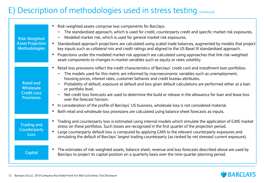#### E) Description of methodologies used in stress testing (continued)

| <b>Risk-Weighted</b><br><b>Asset Projection</b><br><b>Methodologies</b>   | Risk-weighted assets comprise two components for Barclays:<br>The standardized approach, which is used for credit, counterparty credit and specific market risk exposures.<br>Modeled market risk, which is used for general market risk exposures.<br>Standardized approach projections are calculated using scaled trade balances, augmented by models that project<br>key inputs such as collateral mix and credit ratings and aligned to the US Basel III standardized approach.<br>Projections under the modeled market risk approach are calculated using approaches that link risk-weighted<br>asset components to changes in market variables such as equity or rates volatility.                                                                                                                                 |
|---------------------------------------------------------------------------|---------------------------------------------------------------------------------------------------------------------------------------------------------------------------------------------------------------------------------------------------------------------------------------------------------------------------------------------------------------------------------------------------------------------------------------------------------------------------------------------------------------------------------------------------------------------------------------------------------------------------------------------------------------------------------------------------------------------------------------------------------------------------------------------------------------------------|
| <b>Retail and</b><br>Wholesale<br><b>Credit Loss</b><br><b>Provisions</b> | Retail loss provisions reflect the credit characteristics of Barclays' credit card and installment loan portfolios:<br>The models used for this metric are informed by macroeconomic variables such as unemployment,<br>housing prices, interest rates, customer behavior and credit bureau attributes.<br>Probability of default, exposure at default and loss given default calculations are performed either at a loan<br>or portfolio level.<br>Net credit loss forecasts are used to determine the build or release in the allowance for loan and lease loss<br>over the forecast horizon.<br>In consideration of the profile of Barclays' US business, wholesale loss is not considered material.<br>Both retail and wholesale loss provisions are calculated using balance sheet forecasts as inputs.<br>$\bullet$ |
| <b>Trading and</b><br><b>Counterparty</b><br><b>Loss</b>                  | Trading and counterparty loss is estimated using internal models which simulate the application of GMS market<br>stress on these portfolios. Such losses are recognized in the first quarter of the projection period.<br>Large counterparty default loss is computed by applying GMS to the relevant counterparty exposures and<br>simulating the default of Barclays' largest trading counterparty (as ranked by net stressed current exposure).                                                                                                                                                                                                                                                                                                                                                                        |
| <b>Capital</b>                                                            | The estimates of risk-weighted assets, balance sheet, revenue and loss forecasts described above are used by<br>$\bullet$<br>Barclays to project its capital position on a quarterly basis over the nine-quarter planning period.                                                                                                                                                                                                                                                                                                                                                                                                                                                                                                                                                                                         |